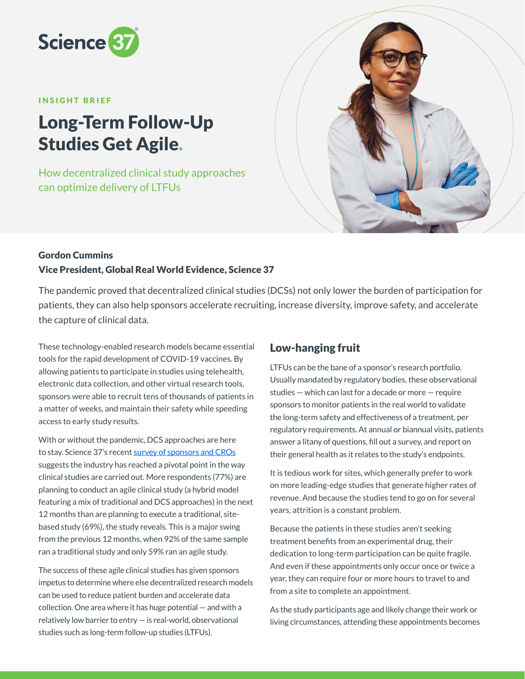

#### INSIGHT BRIEF

# Long-Term Follow-Up Studies Get Agile.

How decentralized clinical study approaches can optimize delivery of LTFUs



### Gordon Cummins Vice President, Global Real World Evidence, Science 37

The pandemic proved that decentralized clinical studies (DCSs) not only lower the burden of participation for patients, they can also help sponsors accelerate recruiting, increase diversity, improve safety, and accelerate the capture of clinical data.

These technology-enabled research models became essential tools for the rapid development of COVID-19 vaccines. By allowing patients to participate in studies using telehealth, electronic data collection, and other virtual research tools, sponsors were able to recruit tens of thousands of patients in a matter of weeks, and maintain their safety while speeding access to early study results.

With or without the pandemic, DCS approaches are here to stay. Science 37's recent [survey of sponsors and CROs](https://science37.com/agile-clinical-trial-report) suggests the industry has reached a pivotal point in the way clinical studies are carried out. More respondents (77%) are planning to conduct an agile clinical study (a hybrid model featuring a mix of traditional and DCS approaches) in the next 12 months than are planning to execute a traditional, sitebased study (69%), the study reveals. This is a major swing from the previous 12 months, when 92% of the same sample ran a traditional study and only 59% ran an agile study.

The success of these agile clinical studies has given sponsors impetus to determine where else decentralized research models can be used to reduce patient burden and accelerate data collection. One area where it has huge potential — and with a relatively low barrier to entry — is real-world, observational studies such as long-term follow-up studies (LTFUs).

## Low-hanging fruit

LTFUs can be the bane of a sponsor's research portfolio. Usually mandated by regulatory bodies, these observational studies — which can last for a decade or more — require sponsors to monitor patients in the real world to validate the long-term safety and effectiveness of a treatment, per regulatory requirements. At annual or biannual visits, patients answer a litany of questions, fill out a survey, and report on their general health as it relates to the study's endpoints.

It is tedious work for sites, which generally prefer to work on more leading-edge studies that generate higher rates of revenue. And because the studies tend to go on for several years, attrition is a constant problem.

Because the patients in these studies aren't seeking treatment benefits from an experimental drug, their dedication to long-term participation can be quite fragile. And even if these appointments only occur once or twice a year, they can require four or more hours to travel to and from a site to complete an appointment.

As the study participants age and likely change their work or living circumstances, attending these appointments becomes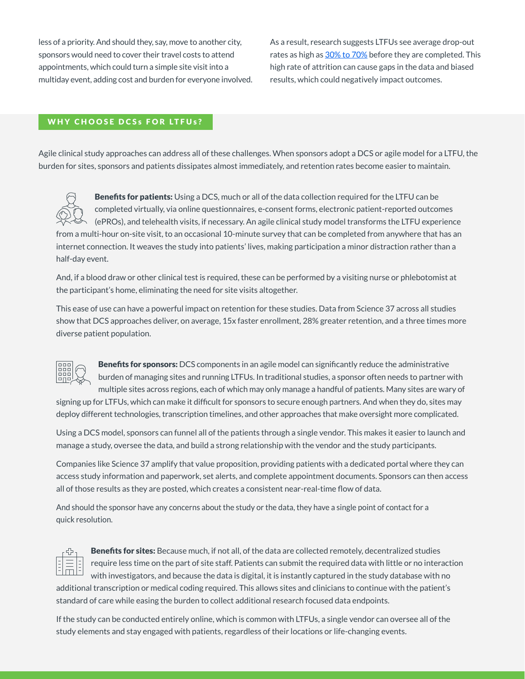less of a priority. And should they, say, move to another city, sponsors would need to cover their travel costs to attend appointments, which could turn a simple site visit into a multiday event, adding cost and burden for everyone involved. As a result, research suggests LTFUs see average drop-out rates as high as  $30\%$  to 70% before they are completed. This high rate of attrition can cause gaps in the data and biased results, which could negatively impact outcomes.

### WHY CHOOSE DCSs FOR LTFUs?

Agile clinical study approaches can address all of these challenges. When sponsors adopt a DCS or agile model for a LTFU, the burden for sites, sponsors and patients dissipates almost immediately, and retention rates become easier to maintain.



Benefits for patients: Using a DCS, much or all of the data collection required for the LTFU can be completed virtually, via online questionnaires, e-consent forms, electronic patient-reported outcomes (ePROs), and telehealth visits, if necessary. An agile clinical study model transforms the LTFU experience from a multi-hour on-site visit, to an occasional 10-minute survey that can be completed from anywhere that has an internet connection. It weaves the study into patients' lives, making participation a minor distraction rather than a half-day event.

And, if a blood draw or other clinical test is required, these can be performed by a visiting nurse or phlebotomist at the participant's home, eliminating the need for site visits altogether.

This ease of use can have a powerful impact on retention for these studies. Data from Science 37 across all studies show that DCS approaches deliver, on average, 15x faster enrollment, 28% greater retention, and a three times more diverse patient population.



**Benefits for sponsors:** DCS components in an agile model can significantly reduce the administrative burden of managing sites and running LTFUs. In traditional studies, a sponsor often needs to partner with multiple sites across regions, each of which may only manage a handful of patients. Many sites are wary of

signing up for LTFUs, which can make it difficult for sponsors to secure enough partners. And when they do, sites may deploy different technologies, transcription timelines, and other approaches that make oversight more complicated.

Using a DCS model, sponsors can funnel all of the patients through a single vendor. This makes it easier to launch and manage a study, oversee the data, and build a strong relationship with the vendor and the study participants.

Companies like Science 37 amplify that value proposition, providing patients with a dedicated portal where they can access study information and paperwork, set alerts, and complete appointment documents. Sponsors can then access all of those results as they are posted, which creates a consistent near-real-time flow of data.

And should the sponsor have any concerns about the study or the data, they have a single point of contact for a quick resolution.



Benefits for sites: Because much, if not all, of the data are collected remotely, decentralized studies require less time on the part of site staff. Patients can submit the required data with little or no interaction with investigators, and because the data is digital, it is instantly captured in the study database with no additional transcription or medical coding required. This allows sites and clinicians to continue with the patient's standard of care while easing the burden to collect additional research focused data endpoints.

If the study can be conducted entirely online, which is common with LTFUs, a single vendor can oversee all of the study elements and stay engaged with patients, regardless of their locations or life-changing events.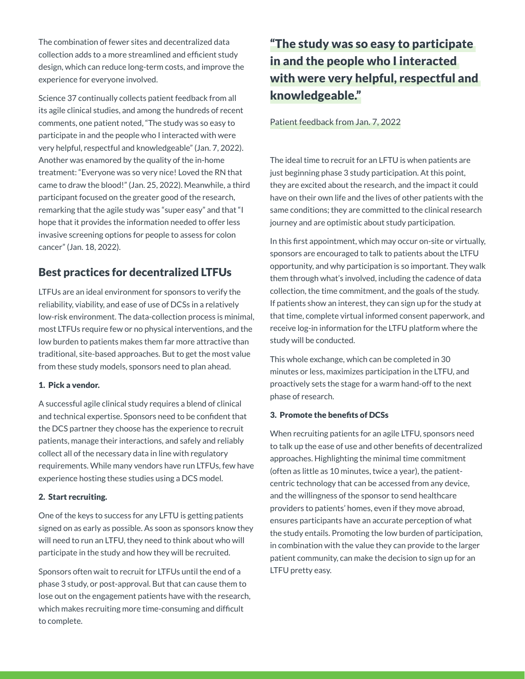The combination of fewer sites and decentralized data collection adds to a more streamlined and efficient study design, which can reduce long-term costs, and improve the experience for everyone involved.

Science 37 continually collects patient feedback from all its agile clinical studies, and among the hundreds of recent comments, one patient noted, "The study was so easy to participate in and the people who I interacted with were very helpful, respectful and knowledgeable" (Jan. 7, 2022). Another was enamored by the quality of the in-home treatment: "Everyone was so very nice! Loved the RN that came to draw the blood!" (Jan. 25, 2022). Meanwhile, a third participant focused on the greater good of the research, remarking that the agile study was "super easy" and that "I hope that it provides the information needed to offer less invasive screening options for people to assess for colon cancer" (Jan. 18, 2022).

# Best practices for decentralized LTFUs

LTFUs are an ideal environment for sponsors to verify the reliability, viability, and ease of use of DCSs in a relatively low-risk environment. The data-collection process is minimal, most LTFUs require few or no physical interventions, and the low burden to patients makes them far more attractive than traditional, site-based approaches. But to get the most value from these study models, sponsors need to plan ahead.

### 1. Pick a vendor.

A successful agile clinical study requires a blend of clinical and technical expertise. Sponsors need to be confident that the DCS partner they choose has the experience to recruit patients, manage their interactions, and safely and reliably collect all of the necessary data in line with regulatory requirements. While many vendors have run LTFUs, few have experience hosting these studies using a DCS model.

### 2. Start recruiting.

One of the keys to success for any LFTU is getting patients signed on as early as possible. As soon as sponsors know they will need to run an LTFU, they need to think about who will participate in the study and how they will be recruited.

Sponsors often wait to recruit for LTFUs until the end of a phase 3 study, or post-approval. But that can cause them to lose out on the engagement patients have with the research, which makes recruiting more time-consuming and difficult to complete.

# "The study was so easy to participate in and the people who I interacted with were very helpful, respectful and knowledgeable."

### Patient feedback from Jan. 7, 2022

The ideal time to recruit for an LFTU is when patients are just beginning phase 3 study participation. At this point, they are excited about the research, and the impact it could have on their own life and the lives of other patients with the same conditions; they are committed to the clinical research journey and are optimistic about study participation.

In this first appointment, which may occur on-site or virtually, sponsors are encouraged to talk to patients about the LTFU opportunity, and why participation is so important. They walk them through what's involved, including the cadence of data collection, the time commitment, and the goals of the study. If patients show an interest, they can sign up for the study at that time, complete virtual informed consent paperwork, and receive log-in information for the LTFU platform where the study will be conducted.

This whole exchange, which can be completed in 30 minutes or less, maximizes participation in the LTFU, and proactively sets the stage for a warm hand-off to the next phase of research.

### 3. Promote the benefits of DCSs

When recruiting patients for an agile LTFU, sponsors need to talk up the ease of use and other benefits of decentralized approaches. Highlighting the minimal time commitment (often as little as 10 minutes, twice a year), the patientcentric technology that can be accessed from any device, and the willingness of the sponsor to send healthcare providers to patients' homes, even if they move abroad, ensures participants have an accurate perception of what the study entails. Promoting the low burden of participation, in combination with the value they can provide to the larger patient community, can make the decision to sign up for an LTFU pretty easy.